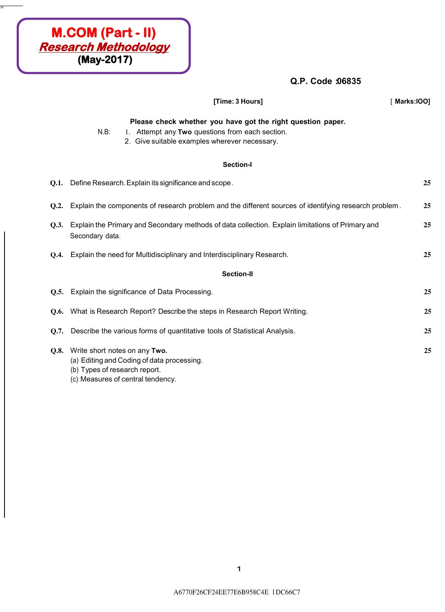## **Q.P. Code :06835**

|      | [Time: 3 Hours]                                                                                                                                                            | Marks:IOO] |  |  |  |
|------|----------------------------------------------------------------------------------------------------------------------------------------------------------------------------|------------|--|--|--|
|      | Please check whether you have got the right question paper.<br>$N.B$ :<br>1. Attempt any Two questions from each section.<br>2. Give suitable examples wherever necessary. |            |  |  |  |
|      | <b>Section-I</b>                                                                                                                                                           |            |  |  |  |
|      | Q.1. Define Research. Explain its significance and scope.                                                                                                                  | 25         |  |  |  |
| Q.2. | Explain the components of research problem and the different sources of identifying research problem.                                                                      | 25         |  |  |  |
| Q.3. | Explain the Primary and Secondary methods of data collection. Explain limitations of Primary and<br>Secondary data.                                                        |            |  |  |  |
| O.4. | Explain the need for Multidisciplinary and Interdisciplinary Research.                                                                                                     | 25         |  |  |  |
|      | <b>Section-II</b>                                                                                                                                                          |            |  |  |  |
|      | Q.5. Explain the significance of Data Processing.                                                                                                                          | 25         |  |  |  |
|      | <b>Q.6.</b> What is Research Report? Describe the steps in Research Report Writing.                                                                                        | 25         |  |  |  |
| 0.7. | Describe the various forms of quantitative tools of Statistical Analysis.                                                                                                  | 25         |  |  |  |
|      | Q.8. Write short notes on any Two.<br>(a) Editing and Coding of data processing.<br>(b) Types of research report.<br>(c) Measures of central tendency.                     | 25         |  |  |  |

**. JO:·**

**M.COM (Part - II) Research Methodology (May-2017)**

1